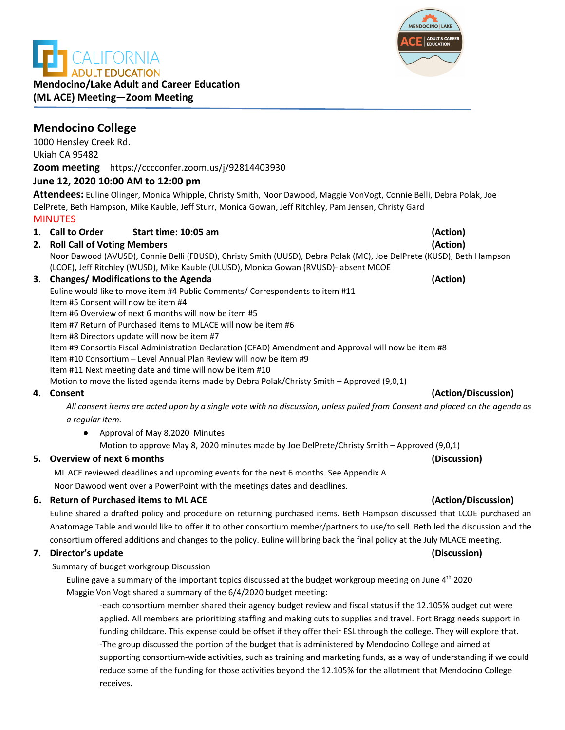**DULT EDUCATION Mendocino/Lake Adult and Career Education (ML ACE) Meeting—Zoom Meeting**

# **Mendocino College**

1000 Hensley Creek Rd. Ukiah CA 95482 **Zoom meeting** https://cccconfer.zoom.us/j/92814403930

## **June 12, 2020 10:00 AM to 12:00 pm**

**Attendees:** Euline Olinger, Monica Whipple, Christy Smith, Noor Dawood, Maggie VonVogt, Connie Belli, Debra Polak, Joe DelPrete, Beth Hampson, Mike Kauble, Jeff Sturr, Monica Gowan, Jeff Ritchley, Pam Jensen, Christy Gard MINUTES

**1. Call to Order Start time: 10:05 am (Action) 2. Roll Call of Voting Members (Action)**

Noor Dawood (AVUSD), Connie Belli (FBUSD), Christy Smith (UUSD), Debra Polak (MC), Joe DelPrete (KUSD), Beth Hampson (LCOE), Jeff Ritchley (WUSD), Mike Kauble (ULUSD), Monica Gowan (RVUSD)- absent MCOE

### **3. Changes/ Modifications to the Agenda (Action)**

Euline would like to move item #4 Public Comments/ Correspondents to item #11 Item #5 Consent will now be item #4

Item #6 Overview of next 6 months will now be item #5

Item #7 Return of Purchased items to MLACE will now be item #6

Item #8 Directors update will now be item #7

Item #9 Consortia Fiscal Administration Declaration (CFAD) Amendment and Approval will now be item #8

Item #10 Consortium – Level Annual Plan Review will now be item #9

Item #11 Next meeting date and time will now be item #10

Motion to move the listed agenda items made by Debra Polak/Christy Smith – Approved (9,0,1)

*All consent items are acted upon by a single vote with no discussion, unless pulled from Consent and placed on the agenda as a regular item.* 

● Approval of May 8,2020 Minutes

Motion to approve May 8, 2020 minutes made by Joe DelPrete/Christy Smith – Approved (9,0,1)

## **5. Overview of next 6 months (Discussion)**

ML ACE reviewed deadlines and upcoming events for the next 6 months. See Appendix A Noor Dawood went over a PowerPoint with the meetings dates and deadlines.

## **6. Return of Purchased items to ML ACE (Action/Discussion)**

Euline shared a drafted policy and procedure on returning purchased items. Beth Hampson discussed that LCOE purchased an Anatomage Table and would like to offer it to other consortium member/partners to use/to sell. Beth led the discussion and the consortium offered additions and changes to the policy. Euline will bring back the final policy at the July MLACE meeting.

## **7. Director's update (Discussion)**

Summary of budget workgroup Discussion

Euline gave a summary of the important topics discussed at the budget workgroup meeting on June 4th 2020 Maggie Von Vogt shared a summary of the 6/4/2020 budget meeting:

-each consortium member shared their agency budget review and fiscal status if the 12.105% budget cut were applied. All members are prioritizing staffing and making cuts to supplies and travel. Fort Bragg needs support in funding childcare. This expense could be offset if they offer their ESL through the college. They will explore that. -The group discussed the portion of the budget that is administered by Mendocino College and aimed at supporting consortium-wide activities, such as training and marketing funds, as a way of understanding if we could reduce some of the funding for those activities beyond the 12.105% for the allotment that Mendocino College receives.

# **4. Consent (Action/Discussion)**